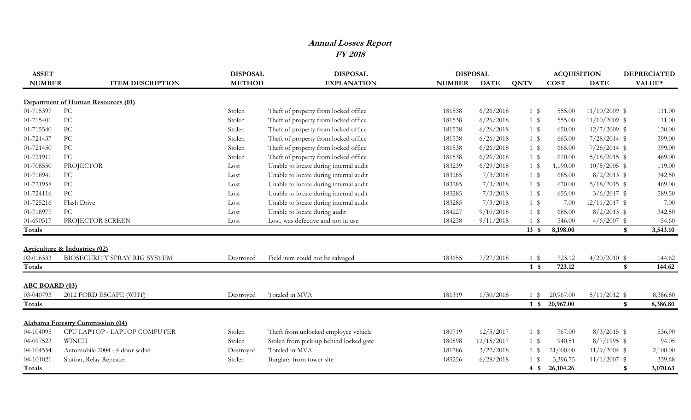## **Annual Losses Report FY 2018**

| <b>NUMBER</b><br><b>METHOD</b><br><b>EXPLANATION</b><br><b>COST</b><br>VALUE*<br><b>ITEM DESCRIPTION</b><br><b>NUMBER</b><br><b>DATE</b><br><b>QNTY</b><br><b>DATE</b><br><b>Department of Human Resources (01)</b><br>PC<br>01-715397<br>6/26/2018<br>$11/10/2009$ \$<br>Theft of property from locked office<br>181538<br>$1 \text{ }$<br>555.00<br>111.00<br>Stolen<br>PC<br>01-715401<br>Theft of property from locked office<br>6/26/2018<br>$11/10/2009$ \$<br>111.00<br>Stolen<br>181538<br>$1 \text{ }$<br>555.00<br>PC<br>6/26/2018<br>01-715540<br>Theft of property from locked office<br>181538<br>$1 \text{ }$<br>650.00<br>$12/7/2009$ \$<br>130.00<br>Stolen<br>PC<br>01-721437<br>Theft of property from locked office<br>6/26/2018<br>Stolen<br>181538<br>$1 \text{ }$<br>665.00<br>$7/28/2014$ \$<br>399.00<br>PC<br>Theft of property from locked office<br>6/26/2018<br>01-721450<br>Stolen<br>181538<br>$1 \text{ }$<br>665.00<br>$7/28/2014$ \$<br>399.00<br>PC<br>6/26/2018<br>01-721911<br>Theft of property from locked office<br>181538<br>$1 \text{ }$<br>670.00<br>$5/18/2015$ \$<br>469.00<br>Stolen<br>Unable to locate during internal audit<br>$10/5/2005$ \$<br>01-708550<br>PROJECTOR<br>183239<br>6/29/2018<br>$1 \text{ }$<br>119.00<br>1,190.00<br>Lost<br>${\rm P}{\bf C}$<br>Unable to locate during internal audit<br>7/3/2018<br>1 \$<br>$8/2/2013$ \$<br>342.50<br>01-718941<br>183285<br>685.00<br>Lost<br>PC<br>Unable to locate during internal audit<br>7/3/2018<br>01-721958<br>183285<br>$1 \text{ }$<br>670.00<br>$5/18/2015$ \$<br>469.00<br>Lost<br>$\rm{PC}$<br>01-724116<br>Unable to locate during internal audit<br>7/3/2018<br>655.00<br>$3/6/2017$ \$<br>589.50<br>183285<br>$1 \text{ }$<br>Lost<br>01-725216<br>Flash Drive<br>Unable to locate during internal audit<br>7/3/2018<br>7.00<br>$12/11/2017$ \$<br>7.00<br>183285<br>1 \$<br>Lost<br>${\rm P}{\bf C}$<br>01-718977<br>Unable to locate during audit<br>184227<br>9/10/2018<br>1 \$<br>$8/2/2013$ \$<br>342.50<br>685.00<br>Lost<br>Lost, was defective and not in use<br>01-690517<br>PROJECTOR SCREEN<br>9/11/2018<br>$4/6/2007$ \$<br>184238<br>1 \$<br>546.00<br>54.60<br>Lost<br>$13 \text{ } $$<br>8,198.00<br>3,543.10<br>Totals<br>\$<br>Agriculture & Industries (02)<br>02-016333<br>BIOSECURITY SPRAY RIG SYSTEM<br>Field item could not be salvaged<br>7/27/2018<br>723.12<br>$4/20/2010$ \$<br>144.62<br>183655<br>$1 \text{ }$<br>Destroyed<br>723.12<br>144.62<br>$1 \text{ }$<br>\$<br><b>ABC BOARD (03)</b><br>03-040793<br>2012 FORD ESCAPE (WHT)<br>Totaled in MVA<br>181319<br>1/30/2018<br>20,967.00<br>$5/11/2012$ \$<br>8,386.80<br>$1 \text{ }$<br>Destroyed<br><b>Totals</b><br>$1 \text{ }$<br>20,967.00<br>8,386.80<br>\$<br><b>Alabama Forestry Commission (04)</b><br>04-104095<br>12/5/2017<br>767.00<br>CPU LAPTOP - LAPTOP COMPUTER<br>Theft from unlocked employee vehicle<br>180719<br>$1 \text{ }$<br>$8/3/2015$ \$<br>536.90<br>Stolen<br><b>WINCH</b><br>04-097523<br>Stolen from pick-up behind locked gate<br>12/15/2017<br>$1 \text{ }$<br>$8/7/1995$ \$<br>94.05<br>Stolen<br>180898<br>940.51<br>04-104554<br>Totaled in MVA<br>3/22/2018<br>$11/9/2004$ \$<br>Automobile 2004 - 4 door sedan<br>181786<br>$1 \text{ }$<br>21,000.00<br>2,100.00<br>Destroyed<br>04-101021<br>Station, Relay Repeater<br>Burglary from tower site<br>183256<br>6/28/2018<br>3,396.75<br>$11/1/2007$ \$<br>339.68<br>Stolen<br>1 \$ | <b>ASSET</b>  | <b>DISPOSAL</b> | <b>DISPOSAL</b> | <b>DISPOSAL</b> |              | <b>ACQUISITION</b> | <b>DEPRECIATED</b> |
|-------------------------------------------------------------------------------------------------------------------------------------------------------------------------------------------------------------------------------------------------------------------------------------------------------------------------------------------------------------------------------------------------------------------------------------------------------------------------------------------------------------------------------------------------------------------------------------------------------------------------------------------------------------------------------------------------------------------------------------------------------------------------------------------------------------------------------------------------------------------------------------------------------------------------------------------------------------------------------------------------------------------------------------------------------------------------------------------------------------------------------------------------------------------------------------------------------------------------------------------------------------------------------------------------------------------------------------------------------------------------------------------------------------------------------------------------------------------------------------------------------------------------------------------------------------------------------------------------------------------------------------------------------------------------------------------------------------------------------------------------------------------------------------------------------------------------------------------------------------------------------------------------------------------------------------------------------------------------------------------------------------------------------------------------------------------------------------------------------------------------------------------------------------------------------------------------------------------------------------------------------------------------------------------------------------------------------------------------------------------------------------------------------------------------------------------------------------------------------------------------------------------------------------------------------------------------------------------------------------------------------------------------------------------------------------------------------------------------------------------------------------------------------------------------------------------------------------------------------------------------------------------------------------------------------------------------------------------------------------------------------------------------------------------------------------------------------------------------------------------------------------------------------------------------------------------------------------------------------------------------------------------------------------------------------------------------------------------------------------------------------------------------------------------------------------------------------------------------------------|---------------|-----------------|-----------------|-----------------|--------------|--------------------|--------------------|
|                                                                                                                                                                                                                                                                                                                                                                                                                                                                                                                                                                                                                                                                                                                                                                                                                                                                                                                                                                                                                                                                                                                                                                                                                                                                                                                                                                                                                                                                                                                                                                                                                                                                                                                                                                                                                                                                                                                                                                                                                                                                                                                                                                                                                                                                                                                                                                                                                                                                                                                                                                                                                                                                                                                                                                                                                                                                                                                                                                                                                                                                                                                                                                                                                                                                                                                                                                                                                                                                                     |               |                 |                 |                 |              |                    |                    |
|                                                                                                                                                                                                                                                                                                                                                                                                                                                                                                                                                                                                                                                                                                                                                                                                                                                                                                                                                                                                                                                                                                                                                                                                                                                                                                                                                                                                                                                                                                                                                                                                                                                                                                                                                                                                                                                                                                                                                                                                                                                                                                                                                                                                                                                                                                                                                                                                                                                                                                                                                                                                                                                                                                                                                                                                                                                                                                                                                                                                                                                                                                                                                                                                                                                                                                                                                                                                                                                                                     |               |                 |                 |                 |              |                    |                    |
|                                                                                                                                                                                                                                                                                                                                                                                                                                                                                                                                                                                                                                                                                                                                                                                                                                                                                                                                                                                                                                                                                                                                                                                                                                                                                                                                                                                                                                                                                                                                                                                                                                                                                                                                                                                                                                                                                                                                                                                                                                                                                                                                                                                                                                                                                                                                                                                                                                                                                                                                                                                                                                                                                                                                                                                                                                                                                                                                                                                                                                                                                                                                                                                                                                                                                                                                                                                                                                                                                     |               |                 |                 |                 |              |                    |                    |
|                                                                                                                                                                                                                                                                                                                                                                                                                                                                                                                                                                                                                                                                                                                                                                                                                                                                                                                                                                                                                                                                                                                                                                                                                                                                                                                                                                                                                                                                                                                                                                                                                                                                                                                                                                                                                                                                                                                                                                                                                                                                                                                                                                                                                                                                                                                                                                                                                                                                                                                                                                                                                                                                                                                                                                                                                                                                                                                                                                                                                                                                                                                                                                                                                                                                                                                                                                                                                                                                                     |               |                 |                 |                 |              |                    |                    |
|                                                                                                                                                                                                                                                                                                                                                                                                                                                                                                                                                                                                                                                                                                                                                                                                                                                                                                                                                                                                                                                                                                                                                                                                                                                                                                                                                                                                                                                                                                                                                                                                                                                                                                                                                                                                                                                                                                                                                                                                                                                                                                                                                                                                                                                                                                                                                                                                                                                                                                                                                                                                                                                                                                                                                                                                                                                                                                                                                                                                                                                                                                                                                                                                                                                                                                                                                                                                                                                                                     |               |                 |                 |                 |              |                    |                    |
|                                                                                                                                                                                                                                                                                                                                                                                                                                                                                                                                                                                                                                                                                                                                                                                                                                                                                                                                                                                                                                                                                                                                                                                                                                                                                                                                                                                                                                                                                                                                                                                                                                                                                                                                                                                                                                                                                                                                                                                                                                                                                                                                                                                                                                                                                                                                                                                                                                                                                                                                                                                                                                                                                                                                                                                                                                                                                                                                                                                                                                                                                                                                                                                                                                                                                                                                                                                                                                                                                     |               |                 |                 |                 |              |                    |                    |
|                                                                                                                                                                                                                                                                                                                                                                                                                                                                                                                                                                                                                                                                                                                                                                                                                                                                                                                                                                                                                                                                                                                                                                                                                                                                                                                                                                                                                                                                                                                                                                                                                                                                                                                                                                                                                                                                                                                                                                                                                                                                                                                                                                                                                                                                                                                                                                                                                                                                                                                                                                                                                                                                                                                                                                                                                                                                                                                                                                                                                                                                                                                                                                                                                                                                                                                                                                                                                                                                                     |               |                 |                 |                 |              |                    |                    |
|                                                                                                                                                                                                                                                                                                                                                                                                                                                                                                                                                                                                                                                                                                                                                                                                                                                                                                                                                                                                                                                                                                                                                                                                                                                                                                                                                                                                                                                                                                                                                                                                                                                                                                                                                                                                                                                                                                                                                                                                                                                                                                                                                                                                                                                                                                                                                                                                                                                                                                                                                                                                                                                                                                                                                                                                                                                                                                                                                                                                                                                                                                                                                                                                                                                                                                                                                                                                                                                                                     |               |                 |                 |                 |              |                    |                    |
|                                                                                                                                                                                                                                                                                                                                                                                                                                                                                                                                                                                                                                                                                                                                                                                                                                                                                                                                                                                                                                                                                                                                                                                                                                                                                                                                                                                                                                                                                                                                                                                                                                                                                                                                                                                                                                                                                                                                                                                                                                                                                                                                                                                                                                                                                                                                                                                                                                                                                                                                                                                                                                                                                                                                                                                                                                                                                                                                                                                                                                                                                                                                                                                                                                                                                                                                                                                                                                                                                     |               |                 |                 |                 |              |                    |                    |
|                                                                                                                                                                                                                                                                                                                                                                                                                                                                                                                                                                                                                                                                                                                                                                                                                                                                                                                                                                                                                                                                                                                                                                                                                                                                                                                                                                                                                                                                                                                                                                                                                                                                                                                                                                                                                                                                                                                                                                                                                                                                                                                                                                                                                                                                                                                                                                                                                                                                                                                                                                                                                                                                                                                                                                                                                                                                                                                                                                                                                                                                                                                                                                                                                                                                                                                                                                                                                                                                                     |               |                 |                 |                 |              |                    |                    |
|                                                                                                                                                                                                                                                                                                                                                                                                                                                                                                                                                                                                                                                                                                                                                                                                                                                                                                                                                                                                                                                                                                                                                                                                                                                                                                                                                                                                                                                                                                                                                                                                                                                                                                                                                                                                                                                                                                                                                                                                                                                                                                                                                                                                                                                                                                                                                                                                                                                                                                                                                                                                                                                                                                                                                                                                                                                                                                                                                                                                                                                                                                                                                                                                                                                                                                                                                                                                                                                                                     |               |                 |                 |                 |              |                    |                    |
|                                                                                                                                                                                                                                                                                                                                                                                                                                                                                                                                                                                                                                                                                                                                                                                                                                                                                                                                                                                                                                                                                                                                                                                                                                                                                                                                                                                                                                                                                                                                                                                                                                                                                                                                                                                                                                                                                                                                                                                                                                                                                                                                                                                                                                                                                                                                                                                                                                                                                                                                                                                                                                                                                                                                                                                                                                                                                                                                                                                                                                                                                                                                                                                                                                                                                                                                                                                                                                                                                     |               |                 |                 |                 |              |                    |                    |
|                                                                                                                                                                                                                                                                                                                                                                                                                                                                                                                                                                                                                                                                                                                                                                                                                                                                                                                                                                                                                                                                                                                                                                                                                                                                                                                                                                                                                                                                                                                                                                                                                                                                                                                                                                                                                                                                                                                                                                                                                                                                                                                                                                                                                                                                                                                                                                                                                                                                                                                                                                                                                                                                                                                                                                                                                                                                                                                                                                                                                                                                                                                                                                                                                                                                                                                                                                                                                                                                                     |               |                 |                 |                 |              |                    |                    |
|                                                                                                                                                                                                                                                                                                                                                                                                                                                                                                                                                                                                                                                                                                                                                                                                                                                                                                                                                                                                                                                                                                                                                                                                                                                                                                                                                                                                                                                                                                                                                                                                                                                                                                                                                                                                                                                                                                                                                                                                                                                                                                                                                                                                                                                                                                                                                                                                                                                                                                                                                                                                                                                                                                                                                                                                                                                                                                                                                                                                                                                                                                                                                                                                                                                                                                                                                                                                                                                                                     |               |                 |                 |                 |              |                    |                    |
|                                                                                                                                                                                                                                                                                                                                                                                                                                                                                                                                                                                                                                                                                                                                                                                                                                                                                                                                                                                                                                                                                                                                                                                                                                                                                                                                                                                                                                                                                                                                                                                                                                                                                                                                                                                                                                                                                                                                                                                                                                                                                                                                                                                                                                                                                                                                                                                                                                                                                                                                                                                                                                                                                                                                                                                                                                                                                                                                                                                                                                                                                                                                                                                                                                                                                                                                                                                                                                                                                     |               |                 |                 |                 |              |                    |                    |
|                                                                                                                                                                                                                                                                                                                                                                                                                                                                                                                                                                                                                                                                                                                                                                                                                                                                                                                                                                                                                                                                                                                                                                                                                                                                                                                                                                                                                                                                                                                                                                                                                                                                                                                                                                                                                                                                                                                                                                                                                                                                                                                                                                                                                                                                                                                                                                                                                                                                                                                                                                                                                                                                                                                                                                                                                                                                                                                                                                                                                                                                                                                                                                                                                                                                                                                                                                                                                                                                                     |               |                 |                 |                 |              |                    |                    |
|                                                                                                                                                                                                                                                                                                                                                                                                                                                                                                                                                                                                                                                                                                                                                                                                                                                                                                                                                                                                                                                                                                                                                                                                                                                                                                                                                                                                                                                                                                                                                                                                                                                                                                                                                                                                                                                                                                                                                                                                                                                                                                                                                                                                                                                                                                                                                                                                                                                                                                                                                                                                                                                                                                                                                                                                                                                                                                                                                                                                                                                                                                                                                                                                                                                                                                                                                                                                                                                                                     |               |                 |                 |                 |              |                    |                    |
|                                                                                                                                                                                                                                                                                                                                                                                                                                                                                                                                                                                                                                                                                                                                                                                                                                                                                                                                                                                                                                                                                                                                                                                                                                                                                                                                                                                                                                                                                                                                                                                                                                                                                                                                                                                                                                                                                                                                                                                                                                                                                                                                                                                                                                                                                                                                                                                                                                                                                                                                                                                                                                                                                                                                                                                                                                                                                                                                                                                                                                                                                                                                                                                                                                                                                                                                                                                                                                                                                     |               |                 |                 |                 |              |                    |                    |
|                                                                                                                                                                                                                                                                                                                                                                                                                                                                                                                                                                                                                                                                                                                                                                                                                                                                                                                                                                                                                                                                                                                                                                                                                                                                                                                                                                                                                                                                                                                                                                                                                                                                                                                                                                                                                                                                                                                                                                                                                                                                                                                                                                                                                                                                                                                                                                                                                                                                                                                                                                                                                                                                                                                                                                                                                                                                                                                                                                                                                                                                                                                                                                                                                                                                                                                                                                                                                                                                                     |               |                 |                 |                 |              |                    |                    |
|                                                                                                                                                                                                                                                                                                                                                                                                                                                                                                                                                                                                                                                                                                                                                                                                                                                                                                                                                                                                                                                                                                                                                                                                                                                                                                                                                                                                                                                                                                                                                                                                                                                                                                                                                                                                                                                                                                                                                                                                                                                                                                                                                                                                                                                                                                                                                                                                                                                                                                                                                                                                                                                                                                                                                                                                                                                                                                                                                                                                                                                                                                                                                                                                                                                                                                                                                                                                                                                                                     | <b>Totals</b> |                 |                 |                 |              |                    |                    |
|                                                                                                                                                                                                                                                                                                                                                                                                                                                                                                                                                                                                                                                                                                                                                                                                                                                                                                                                                                                                                                                                                                                                                                                                                                                                                                                                                                                                                                                                                                                                                                                                                                                                                                                                                                                                                                                                                                                                                                                                                                                                                                                                                                                                                                                                                                                                                                                                                                                                                                                                                                                                                                                                                                                                                                                                                                                                                                                                                                                                                                                                                                                                                                                                                                                                                                                                                                                                                                                                                     |               |                 |                 |                 |              |                    |                    |
|                                                                                                                                                                                                                                                                                                                                                                                                                                                                                                                                                                                                                                                                                                                                                                                                                                                                                                                                                                                                                                                                                                                                                                                                                                                                                                                                                                                                                                                                                                                                                                                                                                                                                                                                                                                                                                                                                                                                                                                                                                                                                                                                                                                                                                                                                                                                                                                                                                                                                                                                                                                                                                                                                                                                                                                                                                                                                                                                                                                                                                                                                                                                                                                                                                                                                                                                                                                                                                                                                     |               |                 |                 |                 |              |                    |                    |
|                                                                                                                                                                                                                                                                                                                                                                                                                                                                                                                                                                                                                                                                                                                                                                                                                                                                                                                                                                                                                                                                                                                                                                                                                                                                                                                                                                                                                                                                                                                                                                                                                                                                                                                                                                                                                                                                                                                                                                                                                                                                                                                                                                                                                                                                                                                                                                                                                                                                                                                                                                                                                                                                                                                                                                                                                                                                                                                                                                                                                                                                                                                                                                                                                                                                                                                                                                                                                                                                                     |               |                 |                 |                 |              |                    |                    |
|                                                                                                                                                                                                                                                                                                                                                                                                                                                                                                                                                                                                                                                                                                                                                                                                                                                                                                                                                                                                                                                                                                                                                                                                                                                                                                                                                                                                                                                                                                                                                                                                                                                                                                                                                                                                                                                                                                                                                                                                                                                                                                                                                                                                                                                                                                                                                                                                                                                                                                                                                                                                                                                                                                                                                                                                                                                                                                                                                                                                                                                                                                                                                                                                                                                                                                                                                                                                                                                                                     |               |                 |                 |                 |              |                    |                    |
|                                                                                                                                                                                                                                                                                                                                                                                                                                                                                                                                                                                                                                                                                                                                                                                                                                                                                                                                                                                                                                                                                                                                                                                                                                                                                                                                                                                                                                                                                                                                                                                                                                                                                                                                                                                                                                                                                                                                                                                                                                                                                                                                                                                                                                                                                                                                                                                                                                                                                                                                                                                                                                                                                                                                                                                                                                                                                                                                                                                                                                                                                                                                                                                                                                                                                                                                                                                                                                                                                     |               |                 |                 |                 |              |                    |                    |
|                                                                                                                                                                                                                                                                                                                                                                                                                                                                                                                                                                                                                                                                                                                                                                                                                                                                                                                                                                                                                                                                                                                                                                                                                                                                                                                                                                                                                                                                                                                                                                                                                                                                                                                                                                                                                                                                                                                                                                                                                                                                                                                                                                                                                                                                                                                                                                                                                                                                                                                                                                                                                                                                                                                                                                                                                                                                                                                                                                                                                                                                                                                                                                                                                                                                                                                                                                                                                                                                                     |               |                 |                 |                 |              |                    |                    |
|                                                                                                                                                                                                                                                                                                                                                                                                                                                                                                                                                                                                                                                                                                                                                                                                                                                                                                                                                                                                                                                                                                                                                                                                                                                                                                                                                                                                                                                                                                                                                                                                                                                                                                                                                                                                                                                                                                                                                                                                                                                                                                                                                                                                                                                                                                                                                                                                                                                                                                                                                                                                                                                                                                                                                                                                                                                                                                                                                                                                                                                                                                                                                                                                                                                                                                                                                                                                                                                                                     |               |                 |                 |                 |              |                    |                    |
|                                                                                                                                                                                                                                                                                                                                                                                                                                                                                                                                                                                                                                                                                                                                                                                                                                                                                                                                                                                                                                                                                                                                                                                                                                                                                                                                                                                                                                                                                                                                                                                                                                                                                                                                                                                                                                                                                                                                                                                                                                                                                                                                                                                                                                                                                                                                                                                                                                                                                                                                                                                                                                                                                                                                                                                                                                                                                                                                                                                                                                                                                                                                                                                                                                                                                                                                                                                                                                                                                     |               |                 |                 |                 |              |                    |                    |
|                                                                                                                                                                                                                                                                                                                                                                                                                                                                                                                                                                                                                                                                                                                                                                                                                                                                                                                                                                                                                                                                                                                                                                                                                                                                                                                                                                                                                                                                                                                                                                                                                                                                                                                                                                                                                                                                                                                                                                                                                                                                                                                                                                                                                                                                                                                                                                                                                                                                                                                                                                                                                                                                                                                                                                                                                                                                                                                                                                                                                                                                                                                                                                                                                                                                                                                                                                                                                                                                                     |               |                 |                 |                 |              |                    |                    |
|                                                                                                                                                                                                                                                                                                                                                                                                                                                                                                                                                                                                                                                                                                                                                                                                                                                                                                                                                                                                                                                                                                                                                                                                                                                                                                                                                                                                                                                                                                                                                                                                                                                                                                                                                                                                                                                                                                                                                                                                                                                                                                                                                                                                                                                                                                                                                                                                                                                                                                                                                                                                                                                                                                                                                                                                                                                                                                                                                                                                                                                                                                                                                                                                                                                                                                                                                                                                                                                                                     | Totals        |                 |                 |                 | $4 \text{ }$ | 26,104.26          | 3,070.63<br>\$     |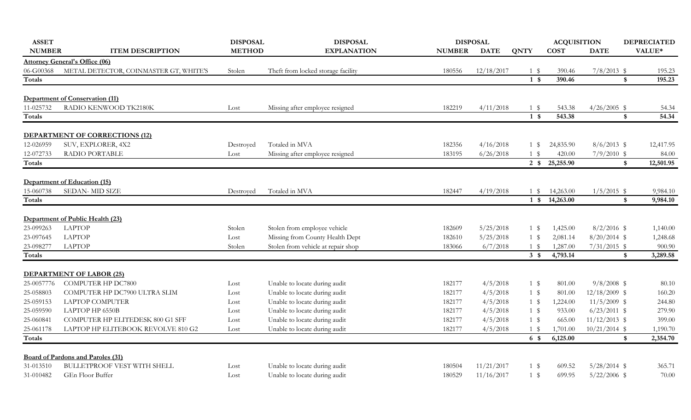| <b>NUMBER</b><br><b>METHOD</b><br><b>ITEM DESCRIPTION</b><br><b>EXPLANATION</b><br><b>NUMBER</b><br><b>DATE</b><br><b>QNTY</b><br><b>COST</b><br><b>DATE</b><br><b>Attorney General's Office (06)</b><br>06-G00368<br>METAL DETECTOR, COINMASTER GT, WHITE'S<br>$7/8/2013$ \$<br>Stolen<br>Theft from locked storage facility<br>180556<br>12/18/2017<br>1 \$<br>390.46<br>390.46<br>$\boldsymbol{\$}$<br>$1 \text{ }$<br>Totals<br><b>Department of Conservation (11)</b> | VALUE*<br>195.23<br>195.23<br>54.34<br>54.34<br>12,417.95 |
|----------------------------------------------------------------------------------------------------------------------------------------------------------------------------------------------------------------------------------------------------------------------------------------------------------------------------------------------------------------------------------------------------------------------------------------------------------------------------|-----------------------------------------------------------|
|                                                                                                                                                                                                                                                                                                                                                                                                                                                                            |                                                           |
|                                                                                                                                                                                                                                                                                                                                                                                                                                                                            |                                                           |
|                                                                                                                                                                                                                                                                                                                                                                                                                                                                            |                                                           |
|                                                                                                                                                                                                                                                                                                                                                                                                                                                                            |                                                           |
|                                                                                                                                                                                                                                                                                                                                                                                                                                                                            |                                                           |
| RADIO KENWOOD TK2180K<br>11-025732<br>Missing after employee resigned<br>182219<br>4/11/2018<br>$1 \text{ }$<br>$4/26/2005$ \$<br>Lost<br>543.38                                                                                                                                                                                                                                                                                                                           |                                                           |
| 543.38<br>Totals<br>$1 \text{ s}$<br>\$                                                                                                                                                                                                                                                                                                                                                                                                                                    |                                                           |
| <b>DEPARTMENT OF CORRECTIONS (12)</b>                                                                                                                                                                                                                                                                                                                                                                                                                                      |                                                           |
| 12-026959<br>SUV, EXPLORER, 4X2<br>Totaled in MVA<br>4/16/2018<br>24,835.90<br>$8/6/2013$ \$<br>182356<br>Destroyed<br>1 \$                                                                                                                                                                                                                                                                                                                                                |                                                           |
| 12-072733<br>RADIO PORTABLE<br>Missing after employee resigned<br>6/26/2018<br>420.00<br>$7/9/2010$ \$<br>183195<br>1 \$<br>Lost                                                                                                                                                                                                                                                                                                                                           | 84.00                                                     |
| 25,255.90<br>$2 \sqrt{\frac{2}{5}}$<br>$\boldsymbol{\$}$<br>Totals                                                                                                                                                                                                                                                                                                                                                                                                         | 12,501.95                                                 |
| Department of Education (15)                                                                                                                                                                                                                                                                                                                                                                                                                                               |                                                           |
| 15-060738<br>SEDAN-MID SIZE<br>Totaled in MVA<br>182447<br>4/19/2018<br>14,263.00<br>$1/5/2015$ \$<br>Destroyed<br>1 \$                                                                                                                                                                                                                                                                                                                                                    | 9,984.10                                                  |
| 14,263.00<br>Totals<br>$1 \text{ }$<br>\$                                                                                                                                                                                                                                                                                                                                                                                                                                  | 9,984.10                                                  |
| Department of Public Health (23)                                                                                                                                                                                                                                                                                                                                                                                                                                           |                                                           |
| <b>LAPTOP</b><br>23-099263<br>Stolen from employee vehicle<br>$8/2/2016$ \$<br>Stolen<br>182609<br>5/25/2018<br>1,425.00<br>1 \$                                                                                                                                                                                                                                                                                                                                           | 1,140.00                                                  |
| <b>LAPTOP</b><br>23-097645<br>Missing from County Health Dept<br>5/25/2018<br>$8/20/2014$ \$<br>2,081.14<br>Lost<br>182610<br>1 \$                                                                                                                                                                                                                                                                                                                                         | 1,248.68                                                  |
| 23-098277<br><b>LAPTOP</b><br>Stolen from vehicle at repair shop<br>6/7/2018<br>$7/31/2015$ \$<br>Stolen<br>1,287.00<br>183066<br>1 \$                                                                                                                                                                                                                                                                                                                                     | 900.90                                                    |
| $3 \text{ }$<br>4,793.14<br>Totals<br>\$                                                                                                                                                                                                                                                                                                                                                                                                                                   | 3,289.58                                                  |
| <b>DEPARTMENT OF LABOR (25)</b>                                                                                                                                                                                                                                                                                                                                                                                                                                            |                                                           |
| 25-0057776<br><b>COMPUTER HP DC7800</b><br>Unable to locate during audit<br>4/5/2018<br>$9/8/2008$ \$<br>182177<br>$1 \text{ }$<br>801.00<br>Lost                                                                                                                                                                                                                                                                                                                          | 80.10                                                     |
| COMPUTER HP DC7900 ULTRA SLIM<br>Unable to locate during audit<br>4/5/2018<br>$12/18/2009$ \$<br>25-058803<br>$1 \text{ }$<br>801.00<br>Lost<br>182177                                                                                                                                                                                                                                                                                                                     | 160.20                                                    |
| <b>LAPTOP COMPUTER</b><br>Unable to locate during audit<br>4/5/2018<br>$11/5/2009$ \$<br>25-059153<br>182177<br>1 \$<br>1,224.00<br>Lost                                                                                                                                                                                                                                                                                                                                   | 244.80                                                    |
| 25-059590<br>LAPTOP HP 6550B<br>Unable to locate during audit<br>4/5/2018<br>$6/23/2011$ \$<br>182177<br>$1 \text{ }$<br>933.00<br>Lost                                                                                                                                                                                                                                                                                                                                    | 279.90                                                    |
| Unable to locate during audit<br>$11/12/2013$ \$<br>25-060841<br>COMPUTER HP ELITEDESK 800 G1 SFF<br>182177<br>4/5/2018<br>$1 \text{ }$<br>665.00<br>Lost                                                                                                                                                                                                                                                                                                                  | 399.00                                                    |
| 25-061178<br>LAPTOP HP ELITEBOOK REVOLVE 810 G2<br>Unable to locate during audit<br>4/5/2018<br>$10/21/2014$ \$<br>182177<br>1 \$<br>1,701.00<br>Lost                                                                                                                                                                                                                                                                                                                      | 1,190.70                                                  |
| Totals<br>$6 \text{ }$ \$<br>6,125.00<br>\$                                                                                                                                                                                                                                                                                                                                                                                                                                | 2,354.70                                                  |
| <b>Board of Pardons and Paroles (31)</b>                                                                                                                                                                                                                                                                                                                                                                                                                                   |                                                           |
| <b>BULLETPROOF VEST WITH SHELL</b><br>31-013510<br>Unable to locate during audit<br>11/21/2017<br>$5/28/2014$ \$<br>180504<br>$1 \text{ }$<br>609.52<br>Lost                                                                                                                                                                                                                                                                                                               | 365.71                                                    |
| 31-010482<br>GEn Floor Buffer<br>Unable to locate during audit<br>180529<br>11/16/2017<br>$1 \text{ }$<br>699.95<br>$5/22/2006$ \$<br>Lost                                                                                                                                                                                                                                                                                                                                 | 70.00                                                     |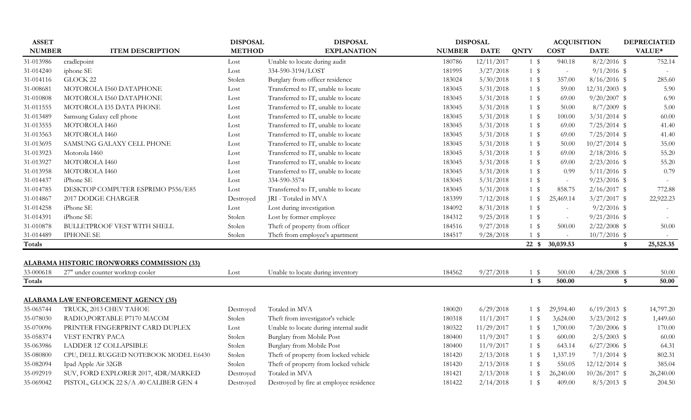| <b>ASSET</b>  |                                            | <b>DISPOSAL</b> | <b>DISPOSAL</b>                         |               | <b>DISPOSAL</b> |                  | <b>ACQUISITION</b> |                 | <b>DEPRECIATED</b>        |
|---------------|--------------------------------------------|-----------------|-----------------------------------------|---------------|-----------------|------------------|--------------------|-----------------|---------------------------|
| <b>NUMBER</b> | <b>ITEM DESCRIPTION</b>                    | <b>METHOD</b>   | <b>EXPLANATION</b>                      | <b>NUMBER</b> | <b>DATE</b>     | <b>QNTY</b>      | <b>COST</b>        | <b>DATE</b>     | VALUE*                    |
| 31-013986     | cradlepoint                                | Lost            | Unable to locate during audit           | 180786        | 12/11/2017      | $1 \text{ }$     | 940.18             | $8/2/2016$ \$   | 752.14                    |
| 31-014240     | iphone SE                                  | Lost            | 334-590-3194/LOST                       | 181995        | 3/27/2018       | $1 \text{ }$     | $\sim$             | $9/1/2016$ \$   |                           |
| 31-014116     | GLOCK 22                                   | Stolen          | Burglary from officer residence         | 183024        | 5/30/2018       | $1 \text{ }$     | 357.00             | $8/16/2016$ \$  | 285.60                    |
| 31-008681     | MOTOROLA I560 DATAPHONE                    | Lost            | Transferred to IT, unable to locate     | 183045        | 5/31/2018       | $1 \text{ }$     | 59.00              | $12/31/2003$ \$ | 5.90                      |
| 31-010808     | MOTOROLA I560 DATAPHONE                    | Lost            | Transferred to IT, unable to locate     | 183045        | 5/31/2018       | $1 \text{ }$     | 69.00              | $9/20/2007$ \$  | 6.90                      |
| 31-011555     | MOTOROLA I35 DATA PHONE                    | Lost            | Transferred to IT, unable to locate     | 183045        | 5/31/2018       | 1 \$             | 50.00              | $8/7/2009$ \$   | 5.00                      |
| 31-013489     | Samsung Galaxy cell phone                  | Lost            | Transferred to IT, unable to locate     | 183045        | 5/31/2018       | $1 \text{ }$     | 100.00             | $3/31/2014$ \$  | 60.00                     |
| 31-013555     | MOTOROLA I460                              | Lost            | Transferred to IT, unable to locate     | 183045        | 5/31/2018       | 1 \$             | 69.00              | $7/25/2014$ \$  | 41.40                     |
| 31-013563     | MOTOROLA I460                              | Lost            | Transferred to IT, unable to locate     | 183045        | 5/31/2018       | 1 \$             | 69.00              | $7/25/2014$ \$  | 41.40                     |
| 31-013695     | SAMSUNG GALAXY CELL PHONE                  | Lost            | Transferred to IT, unable to locate     | 183045        | 5/31/2018       | $1 \text{ }$     | 50.00              | $10/27/2014$ \$ | 35.00                     |
| 31-013923     | Motorola I460                              | Lost            | Transferred to IT, unable to locate     | 183045        | 5/31/2018       | $1 \text{ }$     | 69.00              | $2/18/2016$ \$  | 55.20                     |
| 31-013927     | MOTOROLA I460                              | Lost            | Transferred to IT, unable to locate     | 183045        | 5/31/2018       | $1 \text{ }$     | 69.00              | $2/23/2016$ \$  | 55.20                     |
| 31-013958     | MOTOROLA I460                              | Lost            | Transferred to IT, unable to locate     | 183045        | 5/31/2018       | 1 \$             | 0.99               | $5/11/2016$ \$  | 0.79                      |
| 31-014437     | iPhone SE                                  | Lost            | 334-590-3574                            | 183045        | 5/31/2018       | $1 \text{ }$     | $\sim$             | $9/23/2016$ \$  |                           |
| 31-014785     | DESKTOP COMPUTER ESPRIMO P556/E85          | Lost            | Transferred to IT, unable to locate     | 183045        | 5/31/2018       | $1 \text{ }$     | 858.75             | $2/16/2017$ \$  | 772.88                    |
| 31-014867     | 2017 DODGE CHARGER                         | Destroyed       | JRI - Totaled in MVA                    | 183399        | 7/12/2018       | $1 \text{ }$     | 25,469.14          | $3/27/2017$ \$  | 22,922.23                 |
| 31-014258     | iPhone SE                                  | Lost            | Lost during investigation               | 184092        | 8/31/2018       | 1 \$             | $\sim$             | $9/2/2016$ \$   |                           |
| 31-014391     | iPhone SE                                  | Stolen          | Lost by former employee                 | 184312        | 9/25/2018       | $1 \text{ }$     | $\sim$             | $9/21/2016$ \$  |                           |
| 31-010878     | <b>BULLETPROOF VEST WITH SHELL</b>         | Stolen          | Theft of property from officer          | 184516        | 9/27/2018       | $1 \text{ }$     | 500.00             | $2/22/2008$ \$  | 50.00                     |
| 31-014489     | <b>IPHONE SE</b>                           | Stolen          | Theft from employee's apartment         | 184517        | 9/28/2018       | $1 \text{ }$     | $\sim$             | $10/7/2016$ \$  |                           |
| Totals        |                                            |                 |                                         |               |                 | $22 \text{ }$ \$ | 30,039.53          |                 | 25,525.35<br>$\mathbf{s}$ |
|               | ALABAMA HISTORIC IRONWORKS COMMISSION (33) |                 |                                         |               |                 |                  |                    |                 |                           |
| 33-000618     | 27" under counter worktop cooler           | Lost            | Unable to locate during inventory       | 184562        | 9/27/2018       | $1 \text{ }$     | 500.00             | $4/28/2008$ \$  | 50.00                     |
| Totals        |                                            |                 |                                         |               |                 | 1 <sup>5</sup>   | 500.00             |                 | \$<br>50.00               |
|               | <b>ALABAMA LAW ENFORCEMENT AGENCY (35)</b> |                 |                                         |               |                 |                  |                    |                 |                           |
| 35-065744     | TRUCK, 2013 CHEV TAHOE                     | Destroyed       | Totaled in MVA                          | 180020        | 6/29/2018       | $1 \text{ }$     | 29,594.40          | $6/19/2013$ \$  | 14,797.20                 |
| 35-078030     | RADIO, PORTABLE P7170 MACOM                | Stolen          | Theft from investigator's vehicle       | 180318        | 11/1/2017       | 1 \$             | 3,624.00           | $3/23/2012$ \$  | 1,449.60                  |
| 35-070096     | PRINTER FINGERPRINT CARD DUPLEX            | Lost            | Unable to locate during internal audit  | 180322        | 11/29/2017      | 1 \$             | 1,700.00           | $7/20/2006$ \$  | 170.00                    |
| 35-058374     | VEST ENTRY PACA                            | Stolen          | Burglary from Mobile Post               | 180400        | 11/9/2017       | 1 \$             | 600.00             | $2/5/2003$ \$   | 60.00                     |
| 35-063986     | <b>LADDER 12' COLLAPSIBLE</b>              | Stolen          | Burglary from Mobile Post               | 180400        | 11/9/2017       | $1 \text{ }$     | 643.14             | $6/27/2006$ \$  | 64.31                     |
| 35-080800     | CPU, DELL RUGGED NOTEBOOK MODEL E6430      | Stolen          | Theft of property from locked vehicle   | 181420        | 2/13/2018       | $1 \text{ }$     | 1,337.19           | $7/1/2014$ \$   | 802.31                    |
| 35-082094     | Ipad Apple Air 32GB                        | Stolen          | Theft of property from locked vehicle   | 181420        | 2/13/2018       | 1 \$             | 550.05             | $12/12/2014$ \$ | 385.04                    |
| 35-092919     | SUV, FORD EXPLORER 2017, 4DR/MARKED        | Destroyed       | Totaled in MVA                          | 181421        | 2/13/2018       | $1 \text{ }$     | 26,240.00          | $10/26/2017$ \$ | 26,240.00                 |
| 35-069042     | PISTOL, GLOCK 22 S/A .40 CALIBER GEN 4     | Destroyed       | Destroyed by fire at employee residence | 181422        | 2/14/2018       | $1 \text{ }$ \$  | 409.00             | $8/5/2013$ \$   | 204.50                    |
|               |                                            |                 |                                         |               |                 |                  |                    |                 |                           |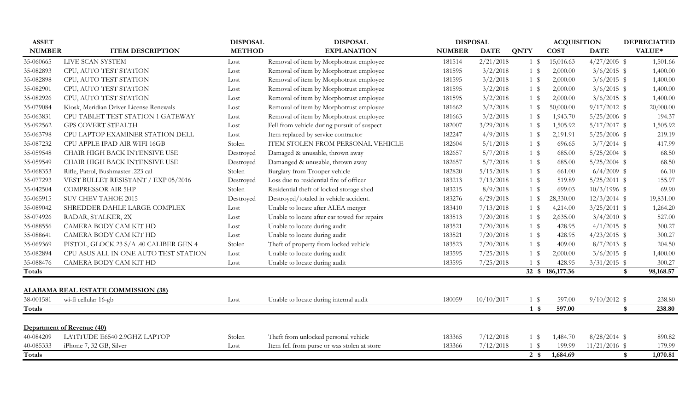| <b>ASSET</b>  |                                            | <b>DISPOSAL</b> | <b>DISPOSAL</b>                              |               | <b>DISPOSAL</b> |                        | <b>ACQUISITION</b> |                 | <b>DEPRECIATED</b>        |
|---------------|--------------------------------------------|-----------------|----------------------------------------------|---------------|-----------------|------------------------|--------------------|-----------------|---------------------------|
| <b>NUMBER</b> | <b>ITEM DESCRIPTION</b>                    | <b>METHOD</b>   | <b>EXPLANATION</b>                           | <b>NUMBER</b> | <b>DATE</b>     | <b>QNTY</b>            | <b>COST</b>        | <b>DATE</b>     | VALUE*                    |
| 35-060665     | LIVE SCAN SYSTEM                           | Lost            | Removal of item by Morphotrust employee      | 181514        | 2/21/2018       | $1 \text{ }$           | 15,016.63          | $4/27/2005$ \$  | 1,501.66                  |
| 35-082893     | CPU, AUTO TEST STATION                     | Lost            | Removal of item by Morphotrust employee      | 181595        | 3/2/2018        | $1 \text{ }$           | 2,000.00           | $3/6/2015$ \$   | 1,400.00                  |
| 35-082898     | CPU, AUTO TEST STATION                     | Lost            | Removal of item by Morphotrust employee      | 181595        | 3/2/2018        | $1 \text{ }$           | 2,000.00           | $3/6/2015$ \$   | 1,400.00                  |
| 35-082901     | CPU, AUTO TEST STATION                     | Lost            | Removal of item by Morphotrust employee      | 181595        | 3/2/2018        | $1 \text{ }$           | 2,000.00           | $3/6/2015$ \$   | 1,400.00                  |
| 35-082926     | CPU, AUTO TEST STATION                     | Lost            | Removal of item by Morphotrust employee      | 181595        | 3/2/2018        | $1 \text{ }$           | 2,000.00           | $3/6/2015$ \$   | 1,400.00                  |
| 35-079084     | Kiosk, Meridian Driver License Renewals    | Lost            | Removal of item by Morphotrust employee      | 181662        | 3/2/2018        | $1 \text{ }$           | 50,000.00          | $9/17/2012$ \$  | 20,000.00                 |
| 35-063831     | CPU TABLET TEST STATION 1 GATEWAY          | Lost            | Removal of item by Morphotrust employee      | 181663        | 3/2/2018        | $1 \text{ }$           | 1,943.70           | $5/25/2006$ \$  | 194.37                    |
| 35-092562     | <b>GPS COVERT STEALTH</b>                  | Lost            | Fell from vehicle during pursuit of suspect  | 182007        | 3/29/2018       | $1 \text{ }$ \$        | 1,505.92           | $5/17/2017$ \$  | 1,505.92                  |
| 35-063798     | CPU LAPTOP EXAMINER STATION DELL           | Lost            | Item replaced by service contractor          | 182247        | 4/9/2018        | $1 \text{ }$           | 2,191.91           | $5/25/2006$ \$  | 219.19                    |
| 35-087232     | CPU APPLE IPAD AIR WIFI 16GB               | Stolen          | ITEM STOLEN FROM PERSONAL VEHICLE            | 182604        | 5/1/2018        | $1 \text{ }$           | 696.65             | $3/7/2014$ \$   | 417.99                    |
| 35-059548     | CHAIR HIGH BACK INTENSIVE USE              | Destroyed       | Damaged & unusable, thrown away              | 182657        | 5/7/2018        | 1 \$                   | 685.00             | $5/25/2004$ \$  | 68.50                     |
| 35-059549     | CHAIR HIGH BACK INTENSIVE USE              | Destroyed       | Damanged & unusable, thrown away             | 182657        | 5/7/2018        | 1 \$                   | 685.00             | $5/25/2004$ \$  | 68.50                     |
| 35-068353     | Rifle, Patrol, Bushmaster .223 cal         | Stolen          | Burglary from Trooper vehicle                | 182820        | 5/15/2018       | 1 \$                   | 661.00             | $6/4/2009$ \$   | 66.10                     |
| 35-077293     | VEST BULLET RESISTANT / EXP 05/2016        | Destroyed       | Loss due to residential fire of officer      | 183213        | 7/13/2018       | 1 \$                   | 519.89             | $5/25/2011$ \$  | 155.97                    |
| 35-042504     | <b>COMPRESSOR AIR 5HP</b>                  | Stolen          | Residential theft of locked storage shed     | 183215        | 8/9/2018        | $1 \text{ }$           | 699.03             | $10/3/1996$ \$  | 69.90                     |
| 35-065915     | <b>SUV CHEV TAHOE 2015</b>                 | Destroyed       | Destroyed/totaled in vehicle accident.       | 183276        | 6/29/2018       | $1 \text{ }$ \$        | 28,330.00          | $12/3/2014$ \$  | 19,831.00                 |
| 35-089042     | SHREDDER DAHLE LARGE COMPLEX               | Lost            | Unable to locate after ALEA merger           | 183410        | 7/13/2018       | $1 \text{ }$           | 4,214.00           | $3/25/2011$ \$  | 1,264.20                  |
| 35-074926     | RADAR, STALKER, 2X                         | Lost            | Unable to locate after car towed for repairs | 183513        | 7/20/2018       | $1 \text{ }$           | 2,635.00           | $3/4/2010$ \$   | 527.00                    |
| 35-088556     | CAMERA BODY CAM KIT HD                     | Lost            | Unable to locate during audit                | 183521        | 7/20/2018       | 1 \$                   | 428.95             | $4/1/2015$ \$   | 300.27                    |
| 35-088641     | CAMERA BODY CAM KIT HD                     | Lost            | Unable to locate during audit                | 183521        | 7/20/2018       | 1 \$                   | 428.95             | $4/23/2015$ \$  | 300.27                    |
| 35-069369     | PISTOL, GLOCK 23 S/A .40 CALIBER GEN 4     | Stolen          | Theft of property from locked vehicle        | 183523        | 7/20/2018       | 1 \$                   | 409.00             | $8/7/2013$ \$   | 204.50                    |
| 35-082894     | CPU ASUS ALL IN ONE AUTO TEST STATION      | Lost            | Unable to locate during audit                | 183595        | 7/25/2018       | $1 \text{ }$           | 2,000.00           | $3/6/2015$ \$   | 1,400.00                  |
| 35-088476     | CAMERA BODY CAM KIT HD                     | Lost            | Unable to locate during audit                | 183595        | 7/25/2018       | $1 \text{ }$           | 428.95             | $3/31/2015$ \$  | 300.27                    |
| Totals        |                                            |                 |                                              |               |                 |                        | 32 \$ 186,177.36   |                 | 98,168.57<br>$\mathbf{s}$ |
|               |                                            |                 |                                              |               |                 |                        |                    |                 |                           |
|               | <b>ALABAMA REAL ESTATE COMMISSION (38)</b> |                 |                                              |               |                 |                        |                    |                 |                           |
| 38-001581     | wi-fi cellular 16-gb                       | Lost            | Unable to locate during internal audit       | 180059        | 10/10/2017      | $1 \text{ }$           | 597.00             | $9/10/2012$ \$  | 238.80                    |
| Totals        |                                            |                 |                                              |               |                 | $1 \text{ }$           | 597.00             |                 | 238.80<br>$\mathbf{s}$    |
|               | Department of Revenue (40)                 |                 |                                              |               |                 |                        |                    |                 |                           |
| 40-084209     | LATITUDE E6540 2.9GHZ LAPTOP               | Stolen          | Theft from unlocked personal vehicle         | 183365        | 7/12/2018       | $1 \text{ }$ \$        | 1,484.70           | $8/28/2014$ \$  | 890.82                    |
| 40-085333     | iPhone 7, 32 GB, Silver                    | Lost            | Item fell from purse or was stolen at store  | 183366        | 7/12/2018       | $1 \text{ }$ \$        | 199.99             | $11/21/2016$ \$ | 179.99                    |
| <b>Totals</b> |                                            |                 |                                              |               |                 | $2 \sqrt{\frac{2}{5}}$ | 1,684.69           |                 | 1,070.81<br>\$            |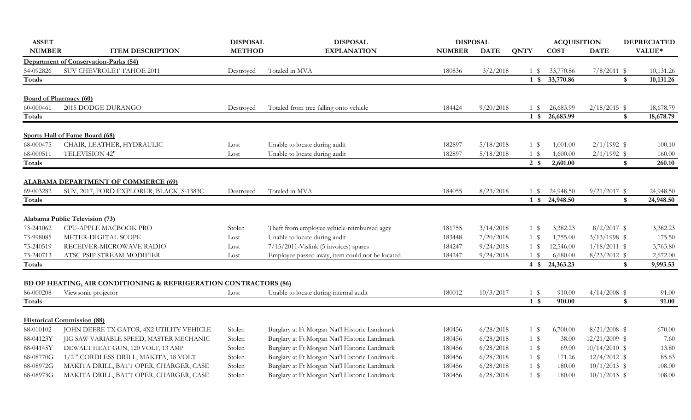| <b>ASSET</b>  |                                                                                                    | <b>DISPOSAL</b> | <b>DISPOSAL</b>                                 | <b>DISPOSAL</b> |             |                 | <b>ACQUISITION</b> |                         | <b>DEPRECIATED</b> |
|---------------|----------------------------------------------------------------------------------------------------|-----------------|-------------------------------------------------|-----------------|-------------|-----------------|--------------------|-------------------------|--------------------|
| <b>NUMBER</b> | <b>ITEM DESCRIPTION</b>                                                                            | <b>METHOD</b>   | <b>EXPLANATION</b>                              | <b>NUMBER</b>   | <b>DATE</b> | <b>QNTY</b>     | <b>COST</b>        | <b>DATE</b>             | VALUE*             |
|               | <b>Department of Conservation-Parks (54)</b>                                                       |                 |                                                 |                 |             |                 |                    |                         |                    |
| 54-092826     | SUV CHEVROLET TAHOE 2011                                                                           | Destroyed       | Totaled in MVA                                  | 180836          | 3/2/2018    | 1 \$            | 33,770.86          | $7/8/2011$ \$           | 10,131.26          |
| Totals        |                                                                                                    |                 |                                                 |                 |             |                 | 1 \$ 33,770.86     | \$                      | 10,131.26          |
|               | <b>Board of Pharmacy (60)</b>                                                                      |                 |                                                 |                 |             |                 |                    |                         |                    |
| 60-000461     | 2015 DODGE DURANGO                                                                                 | Destroyed       | Totaled from tree falling onto vehicle          | 184424          | 9/20/2018   | 1 \$            | 26,683.99          | $2/18/2015$ \$          | 18,678.79          |
| Totals        |                                                                                                    |                 |                                                 |                 |             | $1 \text{ }$    | 26,683.99          | \$                      | 18,678.79          |
|               | Sports Hall of Fame Board (68)                                                                     |                 |                                                 |                 |             |                 |                    |                         |                    |
| 68-000475     | CHAIR, LEATHER, HYDRAULIC                                                                          | Lost            | Unable to locate during audit                   | 182897          | 5/18/2018   | $1 \text{ }$ \$ | 1,001.00           | $2/1/1992$ \$           | 100.10             |
| 68-000511     | TELEVISION 42"                                                                                     | Lost            | Unable to locate during audit                   | 182897          | 5/18/2018   | 1 \$            | 1,600.00           | $2/1/1992$ \$           | 160.00             |
| <b>Totals</b> |                                                                                                    |                 |                                                 |                 |             | $2 \sqrt{s}$    | 2,601.00           | $\sqrt[6]{\frac{1}{2}}$ | 260.10             |
|               | <b>ALABAMA DEPARTMENT OF COMMERCE (69)</b>                                                         |                 |                                                 |                 |             |                 |                    |                         |                    |
| 69-003282     | SUV, 2017, FORD EXPLORER, BLACK, S-1383C                                                           | Destroyed       | Totaled in MVA                                  | 184055          | 8/23/2018   | 1 \$            | 24,948.50          | $9/21/2017$ \$          | 24,948.50          |
| <b>Totals</b> |                                                                                                    |                 |                                                 |                 |             | $1 \text{ }$    | 24,948.50          | \$                      | 24,948.50          |
|               | Alabama Public Television (73)                                                                     |                 |                                                 |                 |             |                 |                    |                         |                    |
| 73-241062     | CPU-APPLE MACBOOK PRO                                                                              | Stolen          | Theft from employee vehicle-reimbursed agcy     | 181755          | 3/14/2018   | 1 \$            | 3,382.23           | $8/2/2017$ \$           | 3,382.23           |
| 73-998085     | METER-DIGITAL SCOPE                                                                                | Lost            | Unable to locate during audit                   | 183448          | 7/20/2018   | 1 \$            | 1,755.00           | $3/13/1998$ \$          | 175.50             |
| 73-240519     | RECEIVER-MICROWAVE RADIO                                                                           | Lost            | 7/15/2011-Vislink (5 invoices) spares           | 184247          | 9/24/2018   | $1 \text{ }$ \$ | 12,546.00          | $1/18/2011$ \$          | 3,763.80           |
| 73-240713     | ATSC PSIP STREAM MODIFIER                                                                          | Lost            | Employee passed away, item could not be located | 184247          | 9/24/2018   | $1 \text{ }$    | 6,680.00           | $8/23/2012$ \$          | 2,672.00           |
| Totals        |                                                                                                    |                 |                                                 |                 |             | $4 \text{ }$    | 24,363.23          | $\frac{1}{2}$           | 9,993.53           |
|               |                                                                                                    |                 |                                                 |                 |             |                 |                    |                         |                    |
| 86-000208     | <b>BD OF HEATING, AIR CONDITIONING &amp; REFRIGERATION CONTRACTORS (86)</b><br>Viewsonic projector | Lost            | Unable to locate during internal audit          | 180012          | 10/3/2017   | $1 \text{ }$    | 910.00             | $4/14/2008$ \$          | 91.00              |
| Totals        |                                                                                                    |                 |                                                 |                 |             | $1 \text{ }$    | 910.00             | \$                      | 91.00              |
|               |                                                                                                    |                 |                                                 |                 |             |                 |                    |                         |                    |
|               | <b>Historical Commission (88)</b>                                                                  |                 |                                                 |                 |             |                 |                    |                         |                    |
| 88-010102     | JOHN DEERE TX GATOR, 4X2 UTILITY VEHICLE                                                           | Stolen          | Burglary at Ft Morgan Nat'l Historic Landmark   | 180456          | 6/28/2018   | $1 \text{ }$    | 6,700.00           | $8/21/2008$ \$          | 670.00             |
| 88-04123Y     | JIG SAW VARIABLE SPEED, MASTER MECHANIC                                                            | Stolen          | Burglary at Ft Morgan Nat'l Historic Landmark   | 180456          | 6/28/2018   | $1 \text{ }$    | 38.00              | $12/21/2009$ \$         | 7.60               |
| 88-04145Y     | DEWALT HEAT GUN, 120 VOLT, 13 AMP                                                                  | Stolen          | Burglary at Ft Morgan Nat'l Historic Landmark   | 180456          | 6/28/2018   | $1 \text{ }$    | 69.00              | $10/14/2010$ \$         | 13.80              |
| 88-08770G     | 1/2 " CORDLESS DRILL, MAKITA, 18 VOLT                                                              | Stolen          | Burglary at Ft Morgan Nat'l Historic Landmark   | 180456          | 6/28/2018   | $1 \text{ }$    | 171.26             | $12/4/2012$ \$          | 85.63              |
| 88-08972G     | MAKITA DRILL, BATT OPER, CHARGER, CASE                                                             | Stolen          | Burglary at Ft Morgan Nat'l Historic Landmark   | 180456          | 6/28/2018   | 1 \$            | 180.00             | $10/1/2013$ \$          | 108.00             |
| 88-08973G     | MAKITA DRILL, BATT OPER, CHARGER, CASE                                                             | Stolen          | Burglary at Ft Morgan Nat'l Historic Landmark   | 180456          | 6/28/2018   | $1 \text{ }$    | 180.00             | $10/1/2013$ \$          | 108.00             |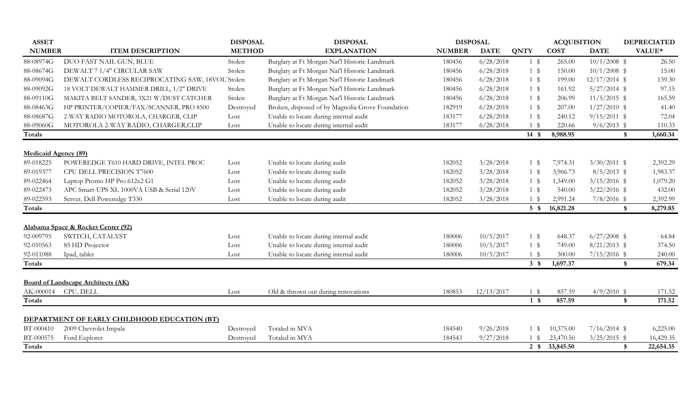| <b>ASSET</b>                |                                                 | <b>DISPOSAL</b> | <b>DISPOSAL</b>                                  |               | <b>DISPOSAL</b> |                  | <b>ACQUISITION</b> |                 | <b>DEPRECIATED</b>     |
|-----------------------------|-------------------------------------------------|-----------------|--------------------------------------------------|---------------|-----------------|------------------|--------------------|-----------------|------------------------|
| <b>NUMBER</b>               | <b>ITEM DESCRIPTION</b>                         | <b>METHOD</b>   | <b>EXPLANATION</b>                               | <b>NUMBER</b> | <b>DATE</b>     | <b>QNTY</b>      | <b>COST</b>        | <b>DATE</b>     | VALUE*                 |
| 88-08974G                   | DUO FAST NAIL GUN, BLUE                         | Stolen          | Burglary at Ft Morgan Nat'l Historic Landmark    | 180456        | 6/28/2018       | $1 \text{ }$     | 265.00             | $10/1/2008$ \$  | 26.50                  |
| 88-08674G                   | DEWALT 7 1/4" CIRCULAR SAW                      | Stolen          | Burglary at Ft Morgan Nat'l Historic Landmark    | 180456        | 6/28/2018       | 1 \$             | 150.00             | $10/1/2008$ \$  | 15.00                  |
| 88-09094G                   | DEWALT CORDLESS RECIPROCATING SAW, 18VOL'Stolen |                 | Burglary at Ft Morgan Nat'l Historic Landmark    | 180456        | 6/28/2018       | $1 \text{ }$     | 199.00             | $12/17/2014$ \$ | 139.30                 |
| 88-09092G                   | 18 VOLT DEWALT HAMMER DRILL, 1/2" DRIVE         | Stolen          | Burglary at Ft Morgan Nat'l Historic Landmark    | 180456        | 6/28/2018       | $1 \text{ }$ \$  | 161.92             | $5/27/2014$ \$  | 97.15                  |
| 88-09110G                   | MAKITA BELT SANDER, 3X21 W/DUST CATCHER         | Stolen          | Burglary at Ft Morgan Nat'l Historic Landmark    | 180456        | 6/28/2018       | $1 \text{ }$     | 206.99             | $11/5/2015$ \$  | 165.59                 |
| 88-08463G                   | HP PRINTER/COPIER/FAX/SCANNER, PRO 8500         | Destroyed       | Broken, disposed of by Magnolia Grove Foundation | 182919        | 6/28/2018       | $1 \text{ }$ \$  | 207.00             | $1/27/2010$ \$  | 41.40                  |
| 88-08687G                   | 2-WAY RADIO MOTOROLA, CHARGER, CLIP             | Lost            | Unable to locate during internal audit           | 183177        | 6/28/2018       | $1 \text{ }$ \$  | 240.12             | $9/15/2011$ \$  | 72.04                  |
| 88-09060G                   | MOTOROLA 2-WAY RADIO, CHARGER,CLIP              | Lost            | Unable to locate during internal audit           | 183177        | 6/28/2018       | $1 \text{ }$     | 220.66             | $9/6/2013$ \$   | 110.33                 |
| Totals                      |                                                 |                 |                                                  |               |                 | $14 \text{ }$ \$ | 8,988.95           |                 | 1,660.34<br>\$         |
| <b>Medicaid Agency (89)</b> |                                                 |                 |                                                  |               |                 |                  |                    |                 |                        |
| 89-018225                   | POWEREDGE T610 HARD DRIVE, INTEL PROC           | Lost            | Unable to locate during audit                    | 182052        | 3/28/2018       | $1 \text{ }$     | 7,974.31           | $3/30/2011$ \$  | 2,392.29               |
| 89-019377                   | CPU DELL PRECISION T7600                        | Lost            | Unable to locate during audit                    | 182052        | 3/28/2018       | $1 \text{ }$ \$  | 3,966.73           | $8/5/2013$ \$   | 1,983.37               |
| 89-022464                   | Laptop Promo HP Pro 612x2 G1                    | Lost            | Unable to locate during audit                    | 182052        | 3/28/2018       | $1 \text{ }$ \$  | 1,349.00           | $3/15/2016$ \$  | 1,079.20               |
| 89-022473                   | APC Smart-UPS XL 1000VA USB & Serial 120V       | Lost            | Unable to locate during audit                    | 182052        | 3/28/2018       | $1 \text{ }$     | 540.00             | $3/22/2016$ \$  | 432.00                 |
| 89-022593                   | Server, Dell Poweredge T330                     | Lost            | Unable to locate during audit                    | 182052        | 3/28/2018       | $1 \text{ }$     | 2,991.24           | $7/8/2016$ \$   | 2,392.99               |
| Totals                      |                                                 |                 |                                                  |               |                 | $5 \text{ }$ \$  | 16,821.28          |                 | 8,279.85<br>\$         |
|                             | Alabama Space & Rocket Center (92)              |                 |                                                  |               |                 |                  |                    |                 |                        |
| 92-009795                   | SWITCH, CATALYST                                | Lost            | Unable to locate during internal audit           | 180006        | 10/5/2017       | $1 \text{ }$     | 648.37             | $6/27/2008$ \$  | 64.84                  |
| 92-010563                   | 85 HD Projector                                 | Lost            | Unable to locate during internal audit           | 180006        | 10/5/2017       | $1 \text{ }$ \$  | 749.00             | $8/21/2013$ \$  | 374.50                 |
| 92-011088                   | Ipad, tablet                                    | Lost            | Unable to locate during internal audit           | 180006        | 10/5/2017       | $1 \text{ }$     | 300.00             | $7/15/2016$ \$  | 240.00                 |
| Totals                      |                                                 |                 |                                                  |               |                 | $3 \text{ }$     | 1,697.37           |                 | 679.34<br>\$           |
|                             | <b>Board of Landscape Architects (AK)</b>       |                 |                                                  |               |                 |                  |                    |                 |                        |
| AK-000014                   | CPU, DELL                                       | Lost            | Old & thrown out during renovations              | 180853        | 12/13/2017      | $1 \text{ }$     | 857.59             | $4/9/2010$ \$   | 171.52                 |
| Totals                      |                                                 |                 |                                                  |               |                 | $1 \text{ }$     | 857.59             |                 | 171.52<br>$\mathbf{s}$ |
|                             |                                                 |                 |                                                  |               |                 |                  |                    |                 |                        |
|                             | DEPARTMENT OF EARLY CHILDHOOD EDUCATION (BT)    |                 |                                                  |               |                 |                  |                    |                 |                        |
| BT-000410                   | 2009 Chevrolet Impala                           | Destroyed       | Totaled in MVA                                   | 184540        | 9/26/2018       | 1 \$             | 10,375.00          | $7/16/2014$ \$  | 6,225.00               |
| BT-000575                   | Ford Explorer                                   | Destroyed       | Totaled in MVA                                   | 184543        | 9/27/2018       | $1 \text{ }$     | 23,470.50          | $3/25/2015$ \$  | 16,429.35              |
| Totals                      |                                                 |                 |                                                  |               |                 |                  | 2 \$ 33,845.50     |                 | 22,654.35<br>\$        |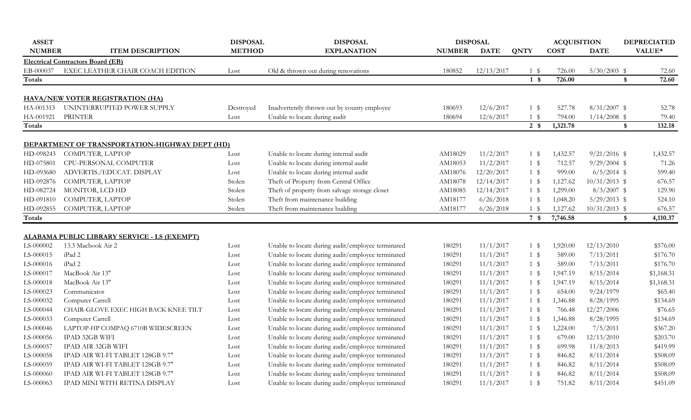| <b>ASSET</b>  |                                                | <b>DISPOSAL</b> | <b>DISPOSAL</b>                                   |               | <b>DISPOSAL</b> |                | <b>ACQUISITION</b> |                   | <b>DEPRECIATED</b> |
|---------------|------------------------------------------------|-----------------|---------------------------------------------------|---------------|-----------------|----------------|--------------------|-------------------|--------------------|
| <b>NUMBER</b> | <b>ITEM DESCRIPTION</b>                        | <b>METHOD</b>   | <b>EXPLANATION</b>                                | <b>NUMBER</b> | <b>DATE</b>     | <b>QNTY</b>    | <b>COST</b>        | <b>DATE</b>       | VALUE*             |
|               | <b>Electrical Contractors Board (EB)</b>       |                 |                                                   |               |                 |                |                    |                   |                    |
| EB-000037     | EXEC LEATHER CHAIR COACH EDITION               | Lost            | Old & thrown out during renovations               | 180852        | 12/13/2017      | $1 \text{ }$   | 726.00             | $5/30/2003$ \$    | 72.60              |
| Totals        |                                                |                 |                                                   |               |                 | 1 <sup>°</sup> | 726.00             | $\frac{1}{2}$     | 72.60              |
|               |                                                |                 |                                                   |               |                 |                |                    |                   |                    |
|               | <b>HAVA/NEW VOTER REGISTRATION (HA)</b>        |                 |                                                   |               |                 |                |                    |                   |                    |
|               | HA-001313 UNINTERRUPTED POWER SUPPLY           | Destroyed       | Inadvertently thrown out by county employee       | 180693        | 12/6/2017       | $1 \text{ }$   | 527.78             | $8/31/2007$ \$    | 52.78              |
| HA-001921     | <b>PRINTER</b>                                 | Lost            | Unable to locate during audit                     | 180694        | 12/6/2017       | $1 \text{ }$   | 794.00             | $1/14/2008$ \$    | 79.40              |
| Totals        |                                                |                 |                                                   |               |                 | 2 <sub>3</sub> | 1,321.78           | $\boldsymbol{\$}$ | 132.18             |
|               | DEPARTMENT OF TRANSPORTATION-HIGHWAY DEPT (HD) |                 |                                                   |               |                 |                |                    |                   |                    |
| HD-098243     | COMPUTER, LAPTOP                               | Lost            | Unable to locate during internal audit            | AM18029       | 11/2/2017       | $1 \text{ }$   | 1,432.57           | $9/21/2016$ \$    | 1,432.57           |
| HD-075801     | CPU-PERSONAL COMPUTER                          | Lost            | Unable to locate during internal audit            | AM18053       | 11/2/2017       | $1 \text{ }$   | 712.57             | $9/29/2004$ \$    | 71.26              |
| HD-093680     | ADVERTIS./EDUCAT. DISPLAY                      | Lost            | Unable to locate during internal audit            | AM18076       | 12/20/2017      | $1 \text{ }$   | 999.00             | $6/5/2014$ \$     | 599.40             |
| HD-092876     | COMPUTER, LAPTOP                               | Stolen          | Theft of Property from Central Office             | AM18078       | 12/14/2017      | $1 \text{ }$   | 1,127.62           | $10/31/2013$ \$   | 676.57             |
| HD-082724     | MONITOR, LCD HD                                | Stolen          | Theft of property from salvage storage closet     | AM18085       | 12/14/2017      | $1 \text{ }$   | 1,299.00           | $8/3/2007$ \$     | 129.90             |
| HD-091810     | COMPUTER, LAPTOP                               | Stolen          | Theft from maintenance building                   | AM18177       | 6/26/2018       | 1 \$           | 1,048.20           | $5/29/2013$ \$    | 524.10             |
| HD-092855     | COMPUTER, LAPTOP                               | Stolen          | Theft from maintenance building                   | AM18177       | 6/26/2018       | 1 \$           | 1,127.62           | $10/31/2013$ \$   | 676.57             |
| <b>Totals</b> |                                                |                 |                                                   |               |                 | 7 \$           | 7,746.58           | $\boldsymbol{\$}$ | 4,110.37           |
|               |                                                |                 |                                                   |               |                 |                |                    |                   |                    |
|               | ALABAMA PUBLIC LIBRARY SERVICE - LS (EXEMPT)   |                 |                                                   |               |                 |                |                    |                   |                    |
| LS-000002     | 13.3 Macbook Air 2                             | Lost            | Unable to locate during audit/employee terminated | 180291        | 11/1/2017       | $1 \text{ }$   | 1,920.00           | 12/13/2010        | \$576.00           |
| LS-000015     | iPad 2                                         | Lost            | Unable to locate during audit/employee terminated | 180291        | 11/1/2017       | 1 \$           | 589.00             | 7/13/2011         | \$176.70           |
| LS-000016     | iPad 2                                         | Lost            | Unable to locate during audit/employee terminated | 180291        | 11/1/2017       | $1 \text{ }$   | 589.00             | 7/13/2011         | \$176.70           |
| LS-000017     | MacBook Air 13"                                | Lost            | Unable to locate during audit/employee terminated | 180291        | 11/1/2017       | $1 \text{ }$   | 1,947.19           | 8/15/2014         | \$1,168.31         |
| LS-000018     | MacBook Air 13"                                | Lost            | Unable to locate during audit/employee terminated | 180291        | 11/1/2017       | 1 \$           | 1,947.19           | 8/15/2014         | \$1,168.31         |
| LS-000023     | Communicator                                   | Lost            | Unable to locate during audit/employee terminated | 180291        | 11/1/2017       | $1 \text{ }$   | 654.00             | 9/24/1979         | \$65.40            |
| LS-000032     | Computer Carrell                               | Lost            | Unable to locate during audit/employee terminated | 180291        | 11/1/2017       | $1 \text{ }$   | 1,346.88           | 8/28/1995         | \$134.69           |
| LS-000044     | CHAIR-GLOVE EXEC HIGH BACK KNEE TILT           | Lost            | Unable to locate during audit/employee terminated | 180291        | 11/1/2017       | $1 \text{ }$   | 766.48             | 12/27/2006        | \$76.65            |
| LS-000033     | Computer Carrell                               | Lost            | Unable to locate during audit/employee terminated | 180291        | 11/1/2017       | 1 \$           | 1,346.88           | 8/28/1995         | \$134.69           |
| LS-000046     | LAPTOP-HP COMPAQ 6710B WIDESCREEN              | Lost            | Unable to locate during audit/employee terminated | 180291        | 11/1/2017       | $1 \text{ }$   | 1,224.00           | 7/5/2011          | \$367.20           |
| LS-000056     | <b>IPAD 32GB WIFI</b>                          | Lost            | Unable to locate during audit/employee terminated | 180291        | 11/1/2017       | 1 \$           | 679.00             | 12/13/2010        | \$203.70           |
| LS-000057     | IPAD AIR 32GB WIFI                             | Lost            | Unable to locate during audit/employee terminated | 180291        | 11/1/2017       | $1 \text{ }$   | 699.98             | 11/8/2013         | \$419.99           |
| LS-000058     | IPAD AIR WI-FI TABLET 128GB 9.7"               | Lost            | Unable to locate during audit/employee terminated | 180291        | 11/1/2017       | 1 \$           | 846.82             | 8/11/2014         | \$508.09           |
| LS-000059     | IPAD AIR WI-FI TABLET 128GB 9.7"               | Lost            | Unable to locate during audit/employee terminated | 180291        | 11/1/2017       | $1 \text{ }$   | 846.82             | 8/11/2014         | \$508.09           |
| LS-000060     | IPAD AIR WI-FI TABLET 128GB 9.7"               | Lost            | Unable to locate during audit/employee terminated | 180291        | 11/1/2017       | $1 \text{ }$   | 846.82             | 8/11/2014         | \$508.09           |
| LS-000063     | IPAD MINI WITH RETINA DISPLAY                  | Lost            | Unable to locate during audit/employee terminated | 180291        | 11/1/2017       | $1 \text{ }$   | 751.82             | 8/11/2014         | \$451.09           |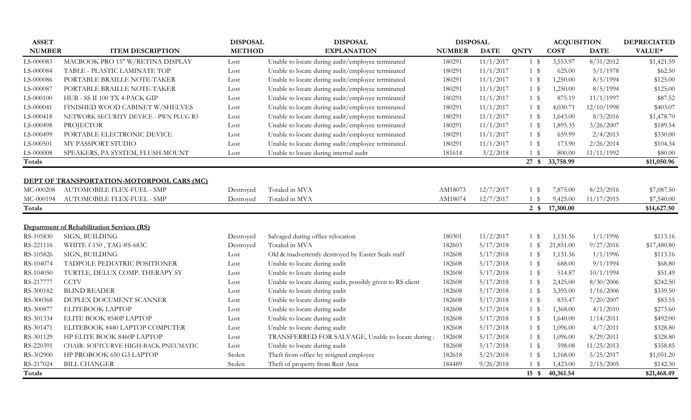| <b>ASSET</b>  |                                                   | <b>DISPOSAL</b> | <b>DISPOSAL</b>                                            | <b>DISPOSAL</b> |             |                  | <b>ACQUISITION</b> |             | <b>DEPRECIATED</b> |
|---------------|---------------------------------------------------|-----------------|------------------------------------------------------------|-----------------|-------------|------------------|--------------------|-------------|--------------------|
| <b>NUMBER</b> | <b>ITEM DESCRIPTION</b>                           | <b>METHOD</b>   | <b>EXPLANATION</b>                                         | <b>NUMBER</b>   | <b>DATE</b> | <b>QNTY</b>      | <b>COST</b>        | <b>DATE</b> | VALUE*             |
| LS-000083     | MACBOOK PRO 15" W/RETINA DISPLAY                  | Lost            | Unable to locate during audit/employee terminated          | 180291          | 11/1/2017   | 1 \$             | 3,553.97           | 8/31/2012   | \$1,421.59         |
| LS-000084     | TABLE - PLASTIC LAMINATE TOP                      | Lost            | Unable to locate during audit/employee terminated          | 180291          | 11/1/2017   | $1 \text{ }$     | 625.00             | 5/1/1978    | \$62.50            |
| LS-000086     | PORTABLE BRAILLE NOTE-TAKER                       | Lost            | Unable to locate during audit/employee terminated          | 180291          | 11/1/2017   | $1 \text{ }$     | 1,250.00           | 8/5/1994    | \$125.00           |
| LS-000087     | PORTABLE BRAILLE NOTE-TAKER                       | Lost            | Unable to locate during audit/employee terminated          | 180291          | 11/1/2017   | $1 \text{ }$     | 1,250.00           | 8/5/1994    | \$125.00           |
| LS-000100     | HUB - SS II 100 TX 4-PACK GIP                     | Lost            | Unable to locate during audit/employee terminated          | 180291          | 11/1/2017   | $1 \text{ }$     | 875.19             | 11/1/1997   | \$87.52            |
| LS-000041     | FINISHED WOOD CABINET W/SHELVES                   | Lost            | Unable to locate during audit/employee terminated          | 180291          | 11/1/2017   | $1 \text{ }$     | 4,030.71           | 12/10/1998  | \$403.07           |
| LS-000418     | NETWORK SECURITY DEVICE - PWN PLUG R3             | Lost            | Unable to locate during audit/employee terminated          | 180291          | 11/1/2017   | $1 \text{ }$     | 1,643.00           | 8/3/2016    | \$1,478.70         |
| LS-000498     | <b>PROJECTOR</b>                                  | Lost            | Unable to locate during audit/employee terminated          | 180291          | 11/1/2017   | $1 \text{ }$     | 1,895.35           | 3/26/2007   | \$189.54           |
| LS-000499     | PORTABLE ELECTRONIC DEVICE                        | Lost            | Unable to locate during audit/employee terminated          | 180291          | 11/1/2017   | $1 \text{ }$     | 659.99             | 2/4/2013    | \$330.00           |
| LS-000501     | MY PASSPORT STUDIO                                | Lost            | Unable to locate during audit/employee terminated          | 180291          | 11/1/2017   | $1 \text{ }$     | 173.90             | 2/26/2014   | \$104.34           |
| LS-000008     | SPEAKERS, PA SYSTEM, FLUSH-MOUNT                  | Lost            | Unable to locate during internal audit                     | 181614          | 3/2/2018    | 1 \$             | 800.00             | 11/11/1992  | \$80.00            |
| Totals        |                                                   |                 |                                                            |                 |             | 27 \$            | 33,758.99          |             | \$11,050.96        |
|               |                                                   |                 |                                                            |                 |             |                  |                    |             |                    |
|               | DEPT OF TRANSPORTATION-MOTORPOOL CARS (MC)        |                 |                                                            |                 |             |                  |                    |             |                    |
| MC-000208     | AUTOMOBILE FLEX-FUEL - SMP                        | Destroyed       | Totaled in MVA                                             | AM18073         | 12/7/2017   | 1 \$             | 7,875.00           | 8/23/2016   | \$7,087.50         |
| MC-000194     | AUTOMOBILE FLEX-FUEL - SMP                        | Destroyed       | Totaled in MVA                                             | AM18074         | 12/7/2017   | $1 \text{ }$     | 9,425.00           | 11/17/2015  | \$7,540.00         |
| <b>Totals</b> |                                                   |                 |                                                            |                 |             | $2 \sqrt{s}$     | 17,300.00          |             | \$14,627.50        |
|               | <b>Department of Rehabilitation Services (RS)</b> |                 |                                                            |                 |             |                  |                    |             |                    |
| RS-105830     | SIGN, BUILDING                                    | Destroyed       | Salvaged during office relocation                          | 180301          | 11/2/2017   | $1 \text{ }$     | 1,131.56           | 1/1/1996    | \$113.16           |
| RS-221116     | WHITE f-150, TAG #S-683C                          | Destroyed       | Totaled in MVA                                             | 182603          | 5/17/2018   | $1 \text{ }$     | 21,851.00          | 9/27/2016   | \$17,480.80        |
| RS-105826     | SIGN, BUILDING                                    | Lost            | Old & inadvertently destroyed by Easter Seals staff        | 182608          | 5/17/2018   | $1 \text{ }$     | 1,131.56           | 1/1/1996    | \$113.16           |
| RS-104074     | TADPOLE PEDIATRIC POSITIONER                      | Lost            | Unable to locate during audit                              | 182608          | 5/17/2018   | 1 \$             | 688.00             | 9/1/1994    | \$68.80            |
| RS-104050     | TURTLE, DELUX COMP. THERAPY SY                    | Lost            | Unable to locate during audit                              | 182608          | 5/17/2018   | 1 \$             | 514.87             | 10/1/1994   | \$51.49            |
| RS-217777     | <b>CCTV</b>                                       | Lost            | Unable to locate during audit, possibly given to RS client | 182608          | 5/17/2018   | $1 \text{ }$     | 2,425.00           | 8/30/2006   | \$242.50           |
| RS-300182     | <b>BLIND READER</b>                               | Lost            | Unable to locate during audit                              | 182608          | 5/17/2018   | 1 \$             | 3,395.00           | 1/16/2006   | \$339.50           |
| RS-300368     | DUPLEX DOCUMENT SCANNER                           | Lost            | Unable to locate during audit                              | 182608          | 5/17/2018   | $1 \text{ }$     | 835.47             | 7/20/2007   | \$83.55            |
| RS-300877     | <b>ELITEBOOK LAPTOP</b>                           | Lost            | Unable to locate during audit                              | 182608          | 5/17/2018   | $1 \text{ }$     | 1,368.00           | 4/1/2010    | \$273.60           |
| RS-301334     | ELITE BOOK 8540P LAPTOP                           | Lost            | Unable to locate during audit                              | 182608          | 5/17/2018   | $1 \text{ }$     | 1,640.00           | 1/14/2011   | \$492.00           |
| RS-301471     | ELITEBOOK 8440 LAPTOP COMPUTER                    | Lost            | Unable to locate during audit                              | 182608          | 5/17/2018   | $1 \text{ }$     | 1,096.00           | 4/7/2011    | \$328.80           |
| RS-301129     | HP ELITE BOOK 8460P LAPTOP                        | Lost            | TRANSFERRED FOR SALVAGE, Unable to locate during:          | 182608          | 5/17/2018   | 1 \$             | 1,096.00           | 8/29/2011   | \$328.80           |
| RS-220391     | CHAIR- SOFTCURVE HIGH-BACK PNEUMATIC              | Lost            | Unable to locate during audit                              | 182608          | 5/17/2018   | $1 \text{ }$     | 598.08             | 11/25/2013  | \$358.85           |
| RS-302900     | HP PROBOOK 650 G3 LAPTOP                          | Stolen          | Theft from office by resigned employee                     | 182618          | 5/23/2018   | 1 \$             | 1,168.00           | 5/25/2017   | \$1,051.20         |
| RS-217024     | <b>BILL CHANGER</b>                               | Stolen          | Theft of property from Rest Area                           | 184489          | 9/26/2018   | $1 \text{ }$     | 1,423.00           | 2/15/2005   | \$142.30           |
| Totals        |                                                   |                 |                                                            |                 |             | $15 \text{ }$ \$ | 40,361.54          |             | \$21,468.49        |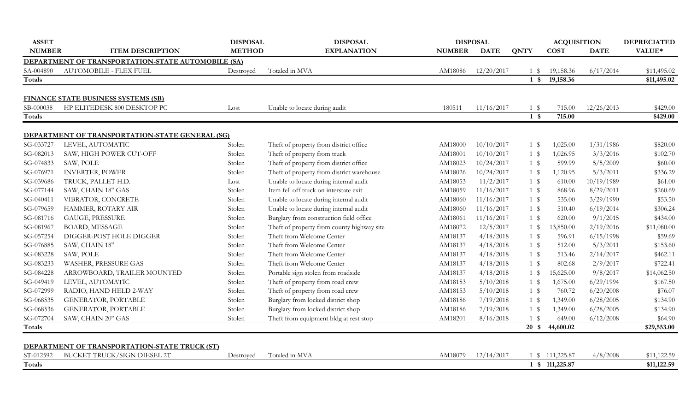| <b>ASSET</b>  |                                                    | <b>DISPOSAL</b> | <b>DISPOSAL</b>                            |               | <b>DISPOSAL</b> |              | <b>ACQUISITION</b> |             | <b>DEPRECIATED</b> |
|---------------|----------------------------------------------------|-----------------|--------------------------------------------|---------------|-----------------|--------------|--------------------|-------------|--------------------|
| <b>NUMBER</b> | <b>ITEM DESCRIPTION</b>                            | <b>METHOD</b>   | <b>EXPLANATION</b>                         | <b>NUMBER</b> | <b>DATE</b>     | <b>QNTY</b>  | <b>COST</b>        | <b>DATE</b> | VALUE*             |
|               | DEPARTMENT OF TRANSPORTATION-STATE AUTOMOBILE (SA) |                 |                                            |               |                 |              |                    |             |                    |
| SA-004890     | <b>AUTOMOBILE - FLEX FUEL</b>                      | Destroyed       | Totaled in MVA                             | AM18086       | 12/20/2017      | 1 \$         | 19,158.36          | 6/17/2014   | \$11,495.02        |
| <b>Totals</b> |                                                    |                 |                                            |               |                 | $1 \text{ }$ | 19,158.36          |             | \$11,495.02        |
|               |                                                    |                 |                                            |               |                 |              |                    |             |                    |
|               | <b>FINANCE STATE BUSINESS SYSTEMS (SB)</b>         |                 |                                            |               |                 |              |                    |             |                    |
| SB-000038     | HP ELITEDESK 800 DESKTOP PC                        | Lost            | Unable to locate during audit              | 180511        | 11/16/2017      | 1 \$         | 715.00             | 12/26/2013  | \$429.00           |
| Totals        |                                                    |                 |                                            |               |                 | $1 \text{ }$ | 715.00             |             | \$429.00           |
|               |                                                    |                 |                                            |               |                 |              |                    |             |                    |
|               | DEPARTMENT OF TRANSPORTATION-STATE GENERAL (SG)    |                 |                                            |               |                 |              |                    |             |                    |
| SG-033727     | LEVEL, AUTOMATIC                                   | Stolen          | Theft of property from district office     | AM18000       | 10/10/2017      | $1 \text{ }$ | 1,025.00           | 1/31/1986   | \$820.00           |
| SG-082013     | SAW, HIGH POWER CUT-OFF                            | Stolen          | Theft of property from truck               | AM18001       | 10/10/2017      | $1 \text{ }$ | 1,026.95           | 3/3/2016    | \$102.70           |
| SG-074833     | SAW, POLE                                          | Stolen          | Theft of property from district office     | AM18023       | 10/24/2017      | $1 \text{ }$ | 599.99             | 5/5/2009    | \$60.00            |
| SG-076971     | <b>INVERTER, POWER</b>                             | Stolen          | Theft of property from district warehouse  | AM18026       | 10/24/2017      | $1 \text{ }$ | 1,120.95           | 5/3/2011    | \$336.29           |
| SG-039686     | TRUCK, PALLET H.D.                                 | Lost            | Unable to locate during internal audit     | AM18053       | 11/2/2017       | $1 \text{ }$ | 610.00             | 10/19/1989  | \$61.00            |
| SG-077144     | SAW, CHAIN 18" GAS                                 | Stolen          | Item fell off truck on interstate exit     | AM18059       | 11/16/2017      | $1 \text{ }$ | 868.96             | 8/29/2011   | \$260.69           |
| SG-040411     | VIBRATOR, CONCRETE                                 | Stolen          | Unable to locate during internal audit     | AM18060       | 11/16/2017      | $1 \text{ }$ | 535.00             | 3/29/1990   | \$53.50            |
| SG-079659     | HAMMER, ROTARY AIR                                 | Stolen          | Unable to locate during internal audit     | AM18060       | 11/16/2017      | $1 \text{ }$ | 510.40             | 6/19/2014   | \$306.24           |
| SG-081716     | GAUGE, PRESSURE                                    | Stolen          | Burglary from construction field office    | AM18061       | 11/16/2017      | $1 \text{ }$ | 620.00             | 9/1/2015    | \$434.00           |
| SG-081967     | <b>BOARD, MESSAGE</b>                              | Stolen          | Theft of property from county highway site | AM18072       | 12/5/2017       | $1 \text{ }$ | 13,850.00          | 2/19/2016   | \$11,080.00        |
| SG-057254     | DIGGER-POST HOLE DIGGER                            | Stolen          | Theft from Welcome Center                  | AM18137       | 4/18/2018       | $1 \text{ }$ | 596.91             | 6/15/1998   | \$59.69            |
| SG-076885     | SAW, CHAIN 18"                                     | Stolen          | Theft from Welcome Center                  | AM18137       | 4/18/2018       | $1 \text{ }$ | 512.00             | 5/3/2011    | \$153.60           |
| SG-083228     | SAW, POLE                                          | Stolen          | Theft from Welcome Center                  | AM18137       | 4/18/2018       | $1 \text{ }$ | 513.46             | 2/14/2017   | \$462.11           |
| SG-083233     | WASHER, PRESSURE GAS                               | Stolen          | Theft from Welcome Center                  | AM18137       | 4/18/2018       | $1 \text{ }$ | 802.68             | 2/9/2017    | \$722.41           |
| SG-084228     | ARROWBOARD, TRAILER MOUNTED                        | Stolen          | Portable sign stolen from roadside         | AM18137       | 4/18/2018       | $1 \text{ }$ | 15,625.00          | 9/8/2017    | \$14,062.50        |
| SG-049419     | LEVEL, AUTOMATIC                                   | Stolen          | Theft of property from road crew           | AM18153       | 5/10/2018       | $1 \text{ }$ | 1,675.00           | 6/29/1994   | \$167.50           |
| SG-072999     | RADIO, HAND HELD 2-WAY                             | Stolen          | Theft of property from road crew           | AM18153       | 5/10/2018       | $1 \text{ }$ | 760.72             | 6/20/2008   | \$76.07            |
| SG-068535     | <b>GENERATOR, PORTABLE</b>                         | Stolen          | Burglary from locked district shop         | AM18186       | 7/19/2018       | $1 \text{ }$ | 1,349.00           | 6/28/2005   | \$134.90           |
| SG-068536     | <b>GENERATOR, PORTABLE</b>                         | Stolen          | Burglary from locked district shop         | AM18186       | 7/19/2018       | $1 \text{ }$ | 1,349.00           | 6/28/2005   | \$134.90           |
| SG-072704     | SAW, CHAIN 20" GAS                                 | Stolen          | Theft from equipment bldg at rest stop     | AM18201       | 8/16/2018       | $1 \text{ }$ | 649.00             | 6/12/2008   | \$64.90            |
| Totals        |                                                    |                 |                                            |               |                 | $20*$        | 44,600.02          |             | \$29,553.00        |
|               |                                                    |                 |                                            |               |                 |              |                    |             |                    |
|               | DEPARTMENT OF TRANSPORTATION-STATE TRUCK (ST)      |                 |                                            |               |                 |              |                    |             |                    |
| ST-012592     | BUCKET TRUCK/SIGN DIESEL 2T                        | Destroyed       | Totaled in MVA                             | AM18079       | 12/14/2017      |              | 1 \$ 111,225.87    | 4/8/2008    | \$11,122.59        |
| <b>Totals</b> |                                                    |                 |                                            |               |                 |              | 1 \$ 111,225.87    |             | \$11,122.59        |